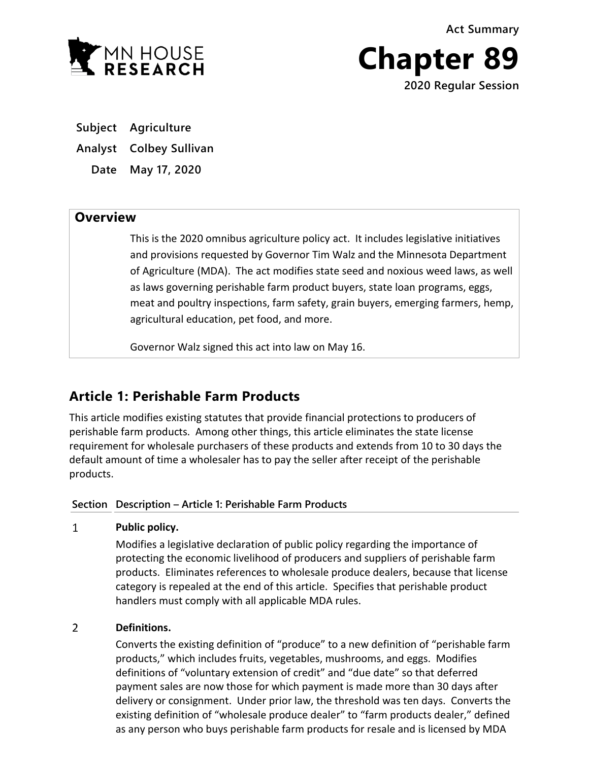**Act Summary**



**Chapter 89 2020 Regular Session**

**Subject Agriculture**

**Analyst Colbey Sullivan**

**Date May 17, 2020**

# **Overview**

This is the 2020 omnibus agriculture policy act. It includes legislative initiatives and provisions requested by Governor Tim Walz and the Minnesota Department of Agriculture (MDA). The act modifies state seed and noxious weed laws, as well as laws governing perishable farm product buyers, state loan programs, eggs, meat and poultry inspections, farm safety, grain buyers, emerging farmers, hemp, agricultural education, pet food, and more.

Governor Walz signed this act into law on May 16.

# **Article 1: Perishable Farm Products**

This article modifies existing statutes that provide financial protections to producers of perishable farm products. Among other things, this article eliminates the state license requirement for wholesale purchasers of these products and extends from 10 to 30 days the default amount of time a wholesaler has to pay the seller after receipt of the perishable products.

# **Section Description – Article 1: Perishable Farm Products**

 $\mathbf{1}$ **Public policy.**

> Modifies a legislative declaration of public policy regarding the importance of protecting the economic livelihood of producers and suppliers of perishable farm products. Eliminates references to wholesale produce dealers, because that license category is repealed at the end of this article. Specifies that perishable product handlers must comply with all applicable MDA rules.

# $\overline{2}$ **Definitions.**

Converts the existing definition of "produce" to a new definition of "perishable farm products," which includes fruits, vegetables, mushrooms, and eggs. Modifies definitions of "voluntary extension of credit" and "due date" so that deferred payment sales are now those for which payment is made more than 30 days after delivery or consignment. Under prior law, the threshold was ten days. Converts the existing definition of "wholesale produce dealer" to "farm products dealer," defined as any person who buys perishable farm products for resale and is licensed by MDA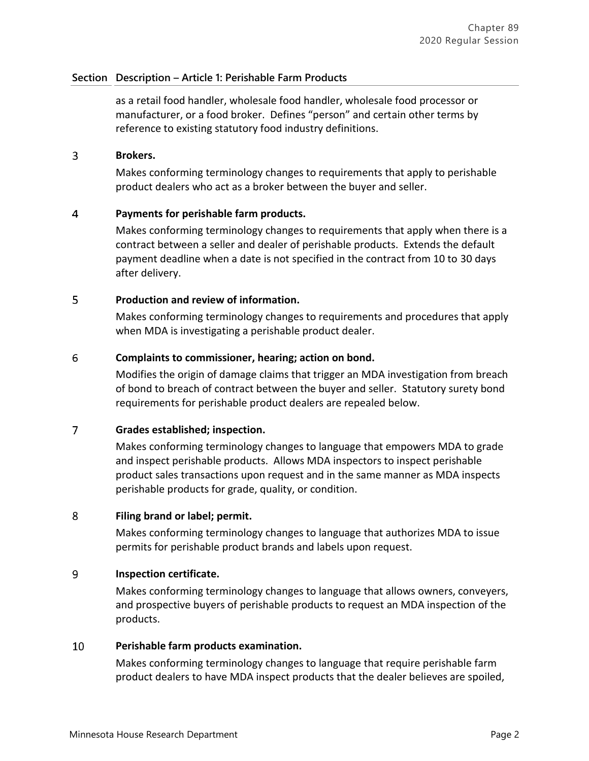# **Section Description – Article 1: Perishable Farm Products**

as a retail food handler, wholesale food handler, wholesale food processor or manufacturer, or a food broker. Defines "person" and certain other terms by reference to existing statutory food industry definitions.

#### 3 **Brokers.**

Makes conforming terminology changes to requirements that apply to perishable product dealers who act as a broker between the buyer and seller.

#### $\overline{4}$ **Payments for perishable farm products.**

Makes conforming terminology changes to requirements that apply when there is a contract between a seller and dealer of perishable products. Extends the default payment deadline when a date is not specified in the contract from 10 to 30 days after delivery.

#### 5 **Production and review of information.**

Makes conforming terminology changes to requirements and procedures that apply when MDA is investigating a perishable product dealer.

### 6 **Complaints to commissioner, hearing; action on bond.**

Modifies the origin of damage claims that trigger an MDA investigation from breach of bond to breach of contract between the buyer and seller. Statutory surety bond requirements for perishable product dealers are repealed below.

# $\overline{7}$ **Grades established; inspection.**

Makes conforming terminology changes to language that empowers MDA to grade and inspect perishable products. Allows MDA inspectors to inspect perishable product sales transactions upon request and in the same manner as MDA inspects perishable products for grade, quality, or condition.

#### 8 **Filing brand or label; permit.**

Makes conforming terminology changes to language that authorizes MDA to issue permits for perishable product brands and labels upon request.

### 9 **Inspection certificate.**

Makes conforming terminology changes to language that allows owners, conveyers, and prospective buyers of perishable products to request an MDA inspection of the products.

## 10 **Perishable farm products examination.**

Makes conforming terminology changes to language that require perishable farm product dealers to have MDA inspect products that the dealer believes are spoiled,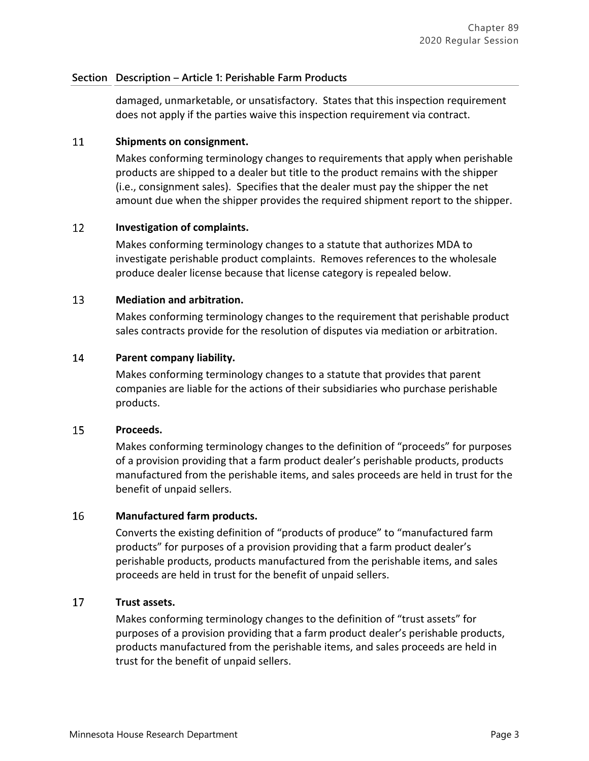# **Section Description – Article 1: Perishable Farm Products**

damaged, unmarketable, or unsatisfactory. States that this inspection requirement does not apply if the parties waive this inspection requirement via contract.

#### 11 **Shipments on consignment.**

Makes conforming terminology changes to requirements that apply when perishable products are shipped to a dealer but title to the product remains with the shipper (i.e., consignment sales). Specifies that the dealer must pay the shipper the net amount due when the shipper provides the required shipment report to the shipper.

#### 12 **Investigation of complaints.**

Makes conforming terminology changes to a statute that authorizes MDA to investigate perishable product complaints. Removes references to the wholesale produce dealer license because that license category is repealed below.

#### 13 **Mediation and arbitration.**

Makes conforming terminology changes to the requirement that perishable product sales contracts provide for the resolution of disputes via mediation or arbitration.

#### 14 **Parent company liability.**

Makes conforming terminology changes to a statute that provides that parent companies are liable for the actions of their subsidiaries who purchase perishable products.

#### 15 **Proceeds.**

Makes conforming terminology changes to the definition of "proceeds" for purposes of a provision providing that a farm product dealer's perishable products, products manufactured from the perishable items, and sales proceeds are held in trust for the benefit of unpaid sellers.

#### 16 **Manufactured farm products.**

Converts the existing definition of "products of produce" to "manufactured farm products" for purposes of a provision providing that a farm product dealer's perishable products, products manufactured from the perishable items, and sales proceeds are held in trust for the benefit of unpaid sellers.

## 17 **Trust assets.**

Makes conforming terminology changes to the definition of "trust assets" for purposes of a provision providing that a farm product dealer's perishable products, products manufactured from the perishable items, and sales proceeds are held in trust for the benefit of unpaid sellers.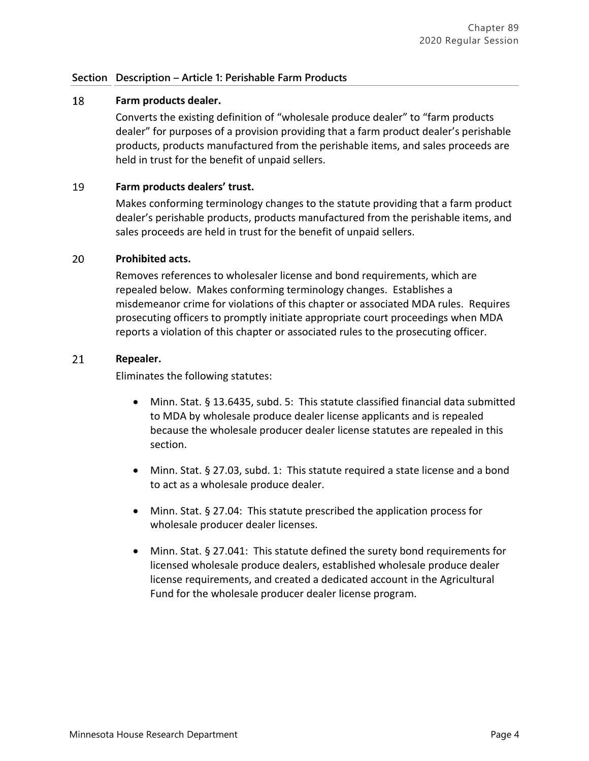# **Section Description – Article 1: Perishable Farm Products**

### 18 **Farm products dealer.**

Converts the existing definition of "wholesale produce dealer" to "farm products dealer" for purposes of a provision providing that a farm product dealer's perishable products, products manufactured from the perishable items, and sales proceeds are held in trust for the benefit of unpaid sellers.

#### 19 **Farm products dealers' trust.**

Makes conforming terminology changes to the statute providing that a farm product dealer's perishable products, products manufactured from the perishable items, and sales proceeds are held in trust for the benefit of unpaid sellers.

#### 20 **Prohibited acts.**

Removes references to wholesaler license and bond requirements, which are repealed below. Makes conforming terminology changes. Establishes a misdemeanor crime for violations of this chapter or associated MDA rules. Requires prosecuting officers to promptly initiate appropriate court proceedings when MDA reports a violation of this chapter or associated rules to the prosecuting officer.

#### 21 **Repealer.**

Eliminates the following statutes:

- Minn. Stat. § 13.6435, subd. 5: This statute classified financial data submitted to MDA by wholesale produce dealer license applicants and is repealed because the wholesale producer dealer license statutes are repealed in this section.
- Minn. Stat. § 27.03, subd. 1: This statute required a state license and a bond to act as a wholesale produce dealer.
- Minn. Stat. § 27.04: This statute prescribed the application process for wholesale producer dealer licenses.
- Minn. Stat. § 27.041: This statute defined the surety bond requirements for licensed wholesale produce dealers, established wholesale produce dealer license requirements, and created a dedicated account in the Agricultural Fund for the wholesale producer dealer license program.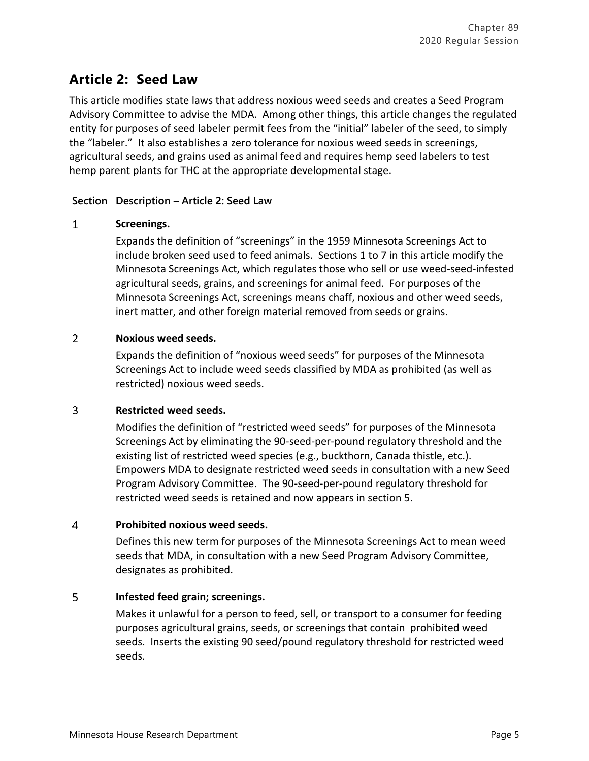# **Article 2: Seed Law**

This article modifies state laws that address noxious weed seeds and creates a Seed Program Advisory Committee to advise the MDA. Among other things, this article changes the regulated entity for purposes of seed labeler permit fees from the "initial" labeler of the seed, to simply the "labeler." It also establishes a zero tolerance for noxious weed seeds in screenings, agricultural seeds, and grains used as animal feed and requires hemp seed labelers to test hemp parent plants for THC at the appropriate developmental stage.

# **Section Description – Article 2: Seed Law**

## $\mathbf{1}$ **Screenings.**

Expands the definition of "screenings" in the 1959 Minnesota Screenings Act to include broken seed used to feed animals. Sections 1 to 7 in this article modify the Minnesota Screenings Act, which regulates those who sell or use weed-seed-infested agricultural seeds, grains, and screenings for animal feed. For purposes of the Minnesota Screenings Act, screenings means chaff, noxious and other weed seeds, inert matter, and other foreign material removed from seeds or grains.

## $\overline{2}$ **Noxious weed seeds.**

Expands the definition of "noxious weed seeds" for purposes of the Minnesota Screenings Act to include weed seeds classified by MDA as prohibited (as well as restricted) noxious weed seeds.

# 3 **Restricted weed seeds.**

Modifies the definition of "restricted weed seeds" for purposes of the Minnesota Screenings Act by eliminating the 90-seed-per-pound regulatory threshold and the existing list of restricted weed species (e.g., buckthorn, Canada thistle, etc.). Empowers MDA to designate restricted weed seeds in consultation with a new Seed Program Advisory Committee. The 90-seed-per-pound regulatory threshold for restricted weed seeds is retained and now appears in section 5.

# $\overline{4}$ **Prohibited noxious weed seeds.**

Defines this new term for purposes of the Minnesota Screenings Act to mean weed seeds that MDA, in consultation with a new Seed Program Advisory Committee, designates as prohibited.

# 5 **Infested feed grain; screenings.**

Makes it unlawful for a person to feed, sell, or transport to a consumer for feeding purposes agricultural grains, seeds, or screenings that contain prohibited weed seeds. Inserts the existing 90 seed/pound regulatory threshold for restricted weed seeds.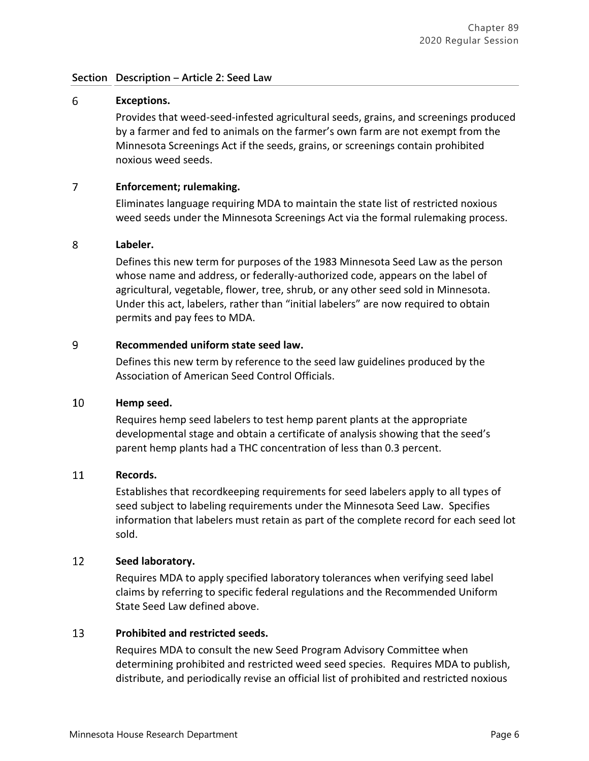# **Section Description – Article 2: Seed Law**

# 6 **Exceptions.**

Provides that weed-seed-infested agricultural seeds, grains, and screenings produced by a farmer and fed to animals on the farmer's own farm are not exempt from the Minnesota Screenings Act if the seeds, grains, or screenings contain prohibited noxious weed seeds.

#### $\overline{7}$ **Enforcement; rulemaking.**

Eliminates language requiring MDA to maintain the state list of restricted noxious weed seeds under the Minnesota Screenings Act via the formal rulemaking process.

#### 8 **Labeler.**

Defines this new term for purposes of the 1983 Minnesota Seed Law as the person whose name and address, or federally-authorized code, appears on the label of agricultural, vegetable, flower, tree, shrub, or any other seed sold in Minnesota. Under this act, labelers, rather than "initial labelers" are now required to obtain permits and pay fees to MDA.

# 9 **Recommended uniform state seed law.**

Defines this new term by reference to the seed law guidelines produced by the Association of American Seed Control Officials.

#### 10 **Hemp seed.**

Requires hemp seed labelers to test hemp parent plants at the appropriate developmental stage and obtain a certificate of analysis showing that the seed's parent hemp plants had a THC concentration of less than 0.3 percent.

#### 11 **Records.**

Establishes that recordkeeping requirements for seed labelers apply to all types of seed subject to labeling requirements under the Minnesota Seed Law. Specifies information that labelers must retain as part of the complete record for each seed lot sold.

### 12 **Seed laboratory.**

Requires MDA to apply specified laboratory tolerances when verifying seed label claims by referring to specific federal regulations and the Recommended Uniform State Seed Law defined above.

#### 13 **Prohibited and restricted seeds.**

Requires MDA to consult the new Seed Program Advisory Committee when determining prohibited and restricted weed seed species. Requires MDA to publish, distribute, and periodically revise an official list of prohibited and restricted noxious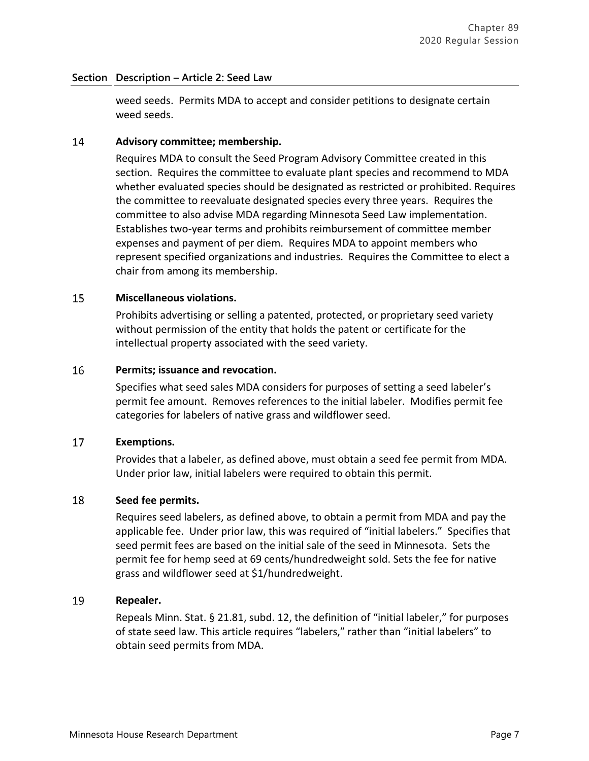# **Section Description – Article 2: Seed Law**

weed seeds. Permits MDA to accept and consider petitions to designate certain weed seeds.

#### 14 **Advisory committee; membership.**

Requires MDA to consult the Seed Program Advisory Committee created in this section. Requires the committee to evaluate plant species and recommend to MDA whether evaluated species should be designated as restricted or prohibited. Requires the committee to reevaluate designated species every three years. Requires the committee to also advise MDA regarding Minnesota Seed Law implementation. Establishes two-year terms and prohibits reimbursement of committee member expenses and payment of per diem. Requires MDA to appoint members who represent specified organizations and industries. Requires the Committee to elect a chair from among its membership.

#### 15 **Miscellaneous violations.**

Prohibits advertising or selling a patented, protected, or proprietary seed variety without permission of the entity that holds the patent or certificate for the intellectual property associated with the seed variety.

#### 16 **Permits; issuance and revocation.**

Specifies what seed sales MDA considers for purposes of setting a seed labeler's permit fee amount. Removes references to the initial labeler. Modifies permit fee categories for labelers of native grass and wildflower seed.

#### 17 **Exemptions.**

Provides that a labeler, as defined above, must obtain a seed fee permit from MDA. Under prior law, initial labelers were required to obtain this permit.

#### 18 **Seed fee permits.**

Requires seed labelers, as defined above, to obtain a permit from MDA and pay the applicable fee. Under prior law, this was required of "initial labelers." Specifies that seed permit fees are based on the initial sale of the seed in Minnesota. Sets the permit fee for hemp seed at 69 cents/hundredweight sold. Sets the fee for native grass and wildflower seed at \$1/hundredweight.

#### 19 **Repealer.**

Repeals Minn. Stat. § 21.81, subd. 12, the definition of "initial labeler," for purposes of state seed law. This article requires "labelers," rather than "initial labelers" to obtain seed permits from MDA.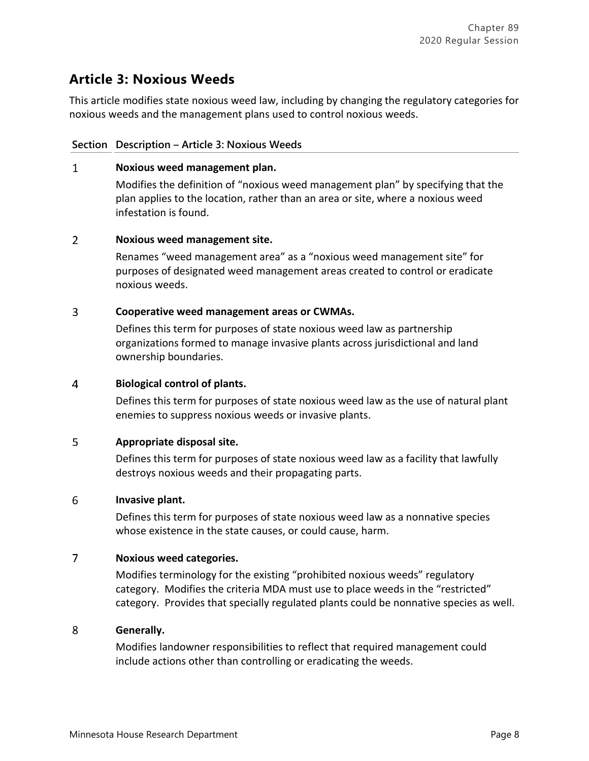# **Article 3: Noxious Weeds**

This article modifies state noxious weed law, including by changing the regulatory categories for noxious weeds and the management plans used to control noxious weeds.

# **Section Description – Article 3: Noxious Weeds**

### $\mathbf{1}$ **Noxious weed management plan.**

Modifies the definition of "noxious weed management plan" by specifying that the plan applies to the location, rather than an area or site, where a noxious weed infestation is found.

## $\overline{2}$ **Noxious weed management site.**

Renames "weed management area" as a "noxious weed management site" for purposes of designated weed management areas created to control or eradicate noxious weeds.

## $\overline{3}$ **Cooperative weed management areas or CWMAs.**

Defines this term for purposes of state noxious weed law as partnership organizations formed to manage invasive plants across jurisdictional and land ownership boundaries.

# $\overline{4}$ **Biological control of plants.**

Defines this term for purposes of state noxious weed law as the use of natural plant enemies to suppress noxious weeds or invasive plants.

#### 5 **Appropriate disposal site.**

Defines this term for purposes of state noxious weed law as a facility that lawfully destroys noxious weeds and their propagating parts.

### 6 **Invasive plant.**

Defines this term for purposes of state noxious weed law as a nonnative species whose existence in the state causes, or could cause, harm.

### $\overline{7}$ **Noxious weed categories.**

Modifies terminology for the existing "prohibited noxious weeds" regulatory category. Modifies the criteria MDA must use to place weeds in the "restricted" category. Provides that specially regulated plants could be nonnative species as well.

#### 8 **Generally.**

Modifies landowner responsibilities to reflect that required management could include actions other than controlling or eradicating the weeds.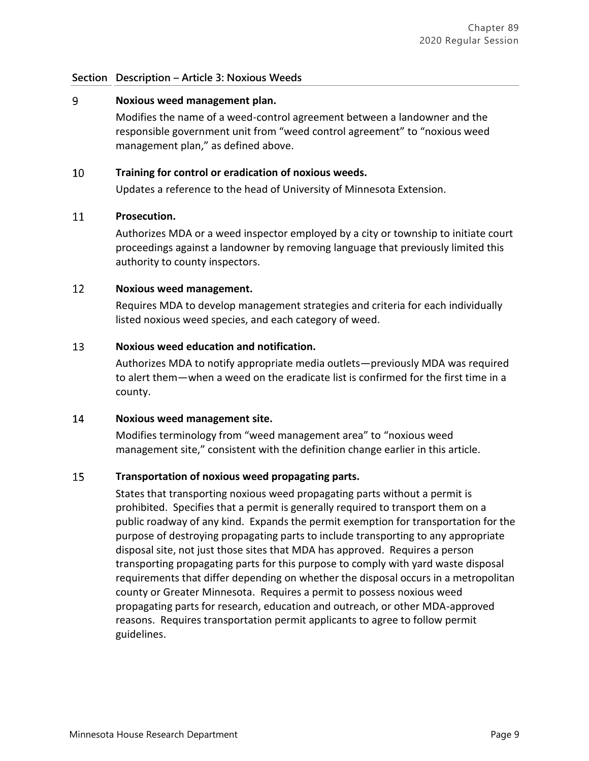# **Section Description – Article 3: Noxious Weeds**

#### 9 **Noxious weed management plan.**

Modifies the name of a weed-control agreement between a landowner and the responsible government unit from "weed control agreement" to "noxious weed management plan," as defined above.

#### 10 **Training for control or eradication of noxious weeds.**

Updates a reference to the head of University of Minnesota Extension.

#### 11 **Prosecution.**

Authorizes MDA or a weed inspector employed by a city or township to initiate court proceedings against a landowner by removing language that previously limited this authority to county inspectors.

#### 12 **Noxious weed management.**

Requires MDA to develop management strategies and criteria for each individually listed noxious weed species, and each category of weed.

#### 13 **Noxious weed education and notification.**

Authorizes MDA to notify appropriate media outlets—previously MDA was required to alert them—when a weed on the eradicate list is confirmed for the first time in a county.

#### 14 **Noxious weed management site.**

Modifies terminology from "weed management area" to "noxious weed management site," consistent with the definition change earlier in this article.

### 15 **Transportation of noxious weed propagating parts.**

States that transporting noxious weed propagating parts without a permit is prohibited. Specifies that a permit is generally required to transport them on a public roadway of any kind. Expands the permit exemption for transportation for the purpose of destroying propagating parts to include transporting to any appropriate disposal site, not just those sites that MDA has approved. Requires a person transporting propagating parts for this purpose to comply with yard waste disposal requirements that differ depending on whether the disposal occurs in a metropolitan county or Greater Minnesota. Requires a permit to possess noxious weed propagating parts for research, education and outreach, or other MDA-approved reasons. Requires transportation permit applicants to agree to follow permit guidelines.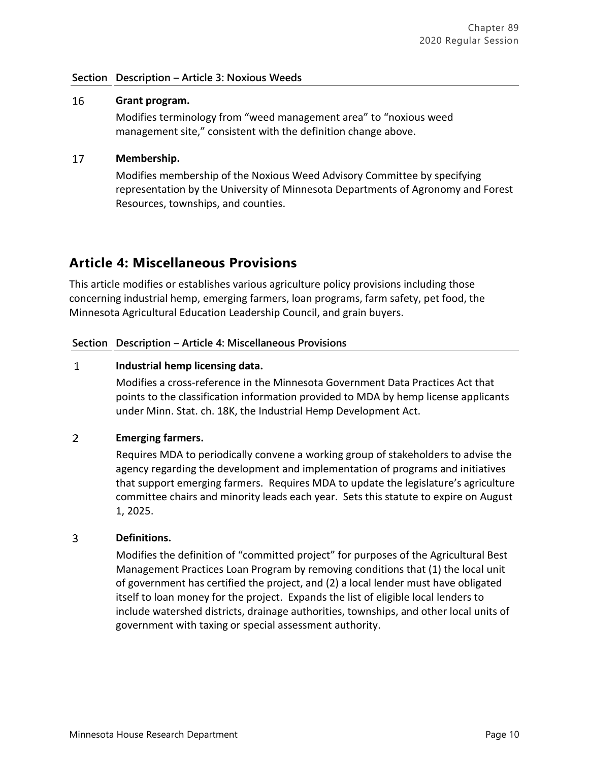# **Section Description – Article 3: Noxious Weeds**

#### 16 **Grant program.**

Modifies terminology from "weed management area" to "noxious weed management site," consistent with the definition change above.

# 17 **Membership.**

Modifies membership of the Noxious Weed Advisory Committee by specifying representation by the University of Minnesota Departments of Agronomy and Forest Resources, townships, and counties.

# **Article 4: Miscellaneous Provisions**

This article modifies or establishes various agriculture policy provisions including those concerning industrial hemp, emerging farmers, loan programs, farm safety, pet food, the Minnesota Agricultural Education Leadership Council, and grain buyers.

# **Section Description – Article 4: Miscellaneous Provisions**

#### $\mathbf{1}$ **Industrial hemp licensing data.**

Modifies a cross-reference in the Minnesota Government Data Practices Act that points to the classification information provided to MDA by hemp license applicants under Minn. Stat. ch. 18K, the Industrial Hemp Development Act.

# $\overline{2}$ **Emerging farmers.**

Requires MDA to periodically convene a working group of stakeholders to advise the agency regarding the development and implementation of programs and initiatives that support emerging farmers. Requires MDA to update the legislature's agriculture committee chairs and minority leads each year. Sets this statute to expire on August 1, 2025.

# 3 **Definitions.**

Modifies the definition of "committed project" for purposes of the Agricultural Best Management Practices Loan Program by removing conditions that (1) the local unit of government has certified the project, and (2) a local lender must have obligated itself to loan money for the project. Expands the list of eligible local lenders to include watershed districts, drainage authorities, townships, and other local units of government with taxing or special assessment authority.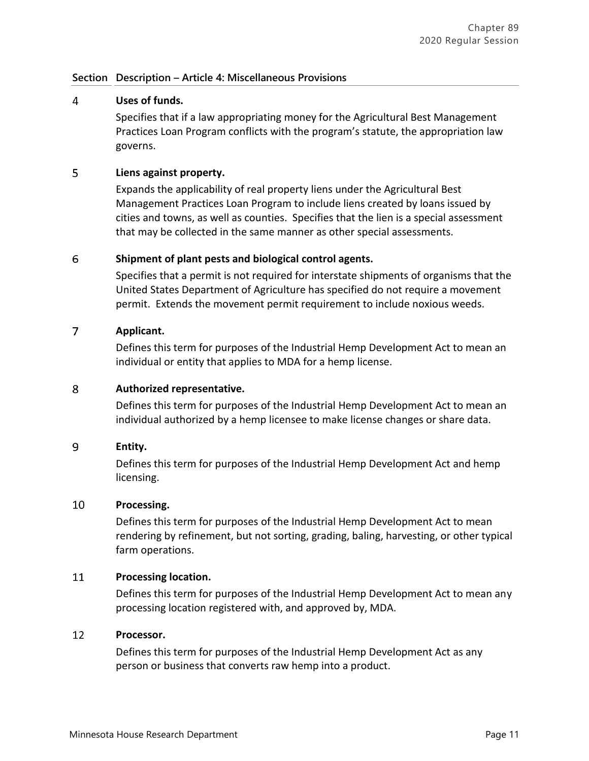# 4 **Uses of funds.**

Specifies that if a law appropriating money for the Agricultural Best Management Practices Loan Program conflicts with the program's statute, the appropriation law governs.

### 5 **Liens against property.**

Expands the applicability of real property liens under the Agricultural Best Management Practices Loan Program to include liens created by loans issued by cities and towns, as well as counties. Specifies that the lien is a special assessment that may be collected in the same manner as other special assessments.

## 6 **Shipment of plant pests and biological control agents.**

Specifies that a permit is not required for interstate shipments of organisms that the United States Department of Agriculture has specified do not require a movement permit. Extends the movement permit requirement to include noxious weeds.

## $\overline{7}$ **Applicant.**

Defines this term for purposes of the Industrial Hemp Development Act to mean an individual or entity that applies to MDA for a hemp license.

# 8 **Authorized representative.**

Defines this term for purposes of the Industrial Hemp Development Act to mean an individual authorized by a hemp licensee to make license changes or share data.

# 9 **Entity.**

Defines this term for purposes of the Industrial Hemp Development Act and hemp licensing.

#### 10 **Processing.**

Defines this term for purposes of the Industrial Hemp Development Act to mean rendering by refinement, but not sorting, grading, baling, harvesting, or other typical farm operations.

#### 11 **Processing location.**

Defines this term for purposes of the Industrial Hemp Development Act to mean any processing location registered with, and approved by, MDA.

#### 12 **Processor.**

Defines this term for purposes of the Industrial Hemp Development Act as any person or business that converts raw hemp into a product.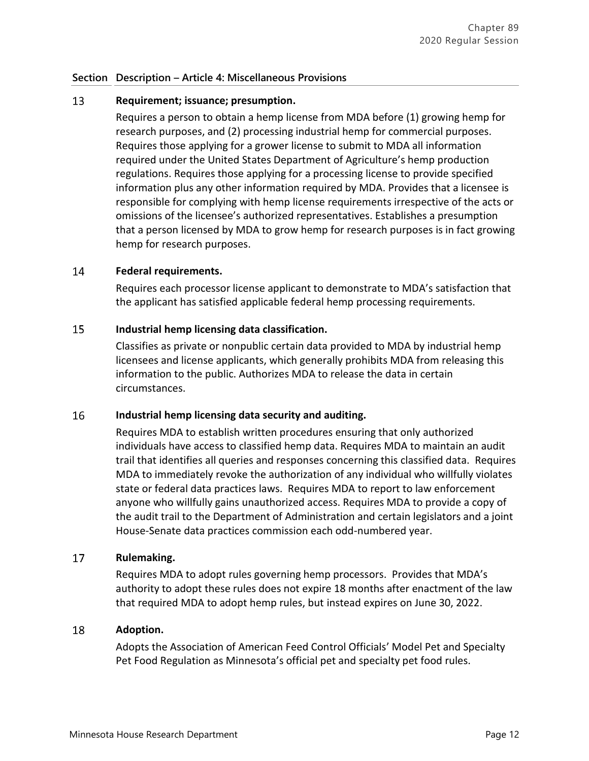### 13 **Requirement; issuance; presumption.**

Requires a person to obtain a hemp license from MDA before (1) growing hemp for research purposes, and (2) processing industrial hemp for commercial purposes. Requires those applying for a grower license to submit to MDA all information required under the United States Department of Agriculture's hemp production regulations. Requires those applying for a processing license to provide specified information plus any other information required by MDA. Provides that a licensee is responsible for complying with hemp license requirements irrespective of the acts or omissions of the licensee's authorized representatives. Establishes a presumption that a person licensed by MDA to grow hemp for research purposes is in fact growing hemp for research purposes.

#### 14 **Federal requirements.**

Requires each processor license applicant to demonstrate to MDA's satisfaction that the applicant has satisfied applicable federal hemp processing requirements.

#### 15 **Industrial hemp licensing data classification.**

Classifies as private or nonpublic certain data provided to MDA by industrial hemp licensees and license applicants, which generally prohibits MDA from releasing this information to the public. Authorizes MDA to release the data in certain circumstances.

#### 16 **Industrial hemp licensing data security and auditing.**

Requires MDA to establish written procedures ensuring that only authorized individuals have access to classified hemp data. Requires MDA to maintain an audit trail that identifies all queries and responses concerning this classified data. Requires MDA to immediately revoke the authorization of any individual who willfully violates state or federal data practices laws. Requires MDA to report to law enforcement anyone who willfully gains unauthorized access. Requires MDA to provide a copy of the audit trail to the Department of Administration and certain legislators and a joint House-Senate data practices commission each odd-numbered year.

#### 17 **Rulemaking.**

Requires MDA to adopt rules governing hemp processors. Provides that MDA's authority to adopt these rules does not expire 18 months after enactment of the law that required MDA to adopt hemp rules, but instead expires on June 30, 2022.

#### 18 **Adoption.**

Adopts the Association of American Feed Control Officials' Model Pet and Specialty Pet Food Regulation as Minnesota's official pet and specialty pet food rules.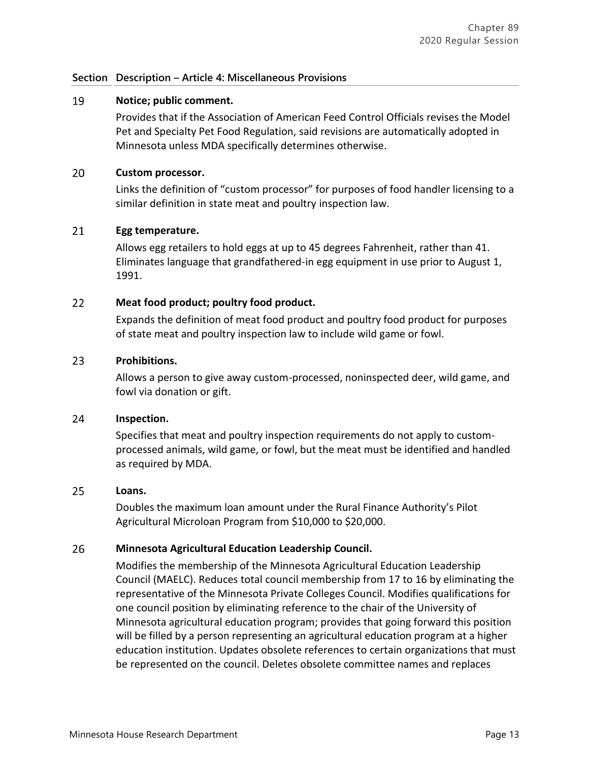### 19 **Notice; public comment.**

Provides that if the Association of American Feed Control Officials revises the Model Pet and Specialty Pet Food Regulation, said revisions are automatically adopted in Minnesota unless MDA specifically determines otherwise.

#### 20 **Custom processor.**

Links the definition of "custom processor" for purposes of food handler licensing to a similar definition in state meat and poultry inspection law.

#### 21 **Egg temperature.**

Allows egg retailers to hold eggs at up to 45 degrees Fahrenheit, rather than 41. Eliminates language that grandfathered-in egg equipment in use prior to August 1, 1991.

#### $22$ **Meat food product; poultry food product.**

Expands the definition of meat food product and poultry food product for purposes of state meat and poultry inspection law to include wild game or fowl.

# 23 **Prohibitions.**

Allows a person to give away custom-processed, noninspected deer, wild game, and fowl via donation or gift.

#### 24 **Inspection.**

Specifies that meat and poultry inspection requirements do not apply to customprocessed animals, wild game, or fowl, but the meat must be identified and handled as required by MDA.

#### 25 **Loans.**

Doubles the maximum loan amount under the Rural Finance Authority's Pilot Agricultural Microloan Program from \$10,000 to \$20,000.

#### 26 **Minnesota Agricultural Education Leadership Council.**

Modifies the membership of the Minnesota Agricultural Education Leadership Council (MAELC). Reduces total council membership from 17 to 16 by eliminating the representative of the Minnesota Private Colleges Council. Modifies qualifications for one council position by eliminating reference to the chair of the University of Minnesota agricultural education program; provides that going forward this position will be filled by a person representing an agricultural education program at a higher education institution. Updates obsolete references to certain organizations that must be represented on the council. Deletes obsolete committee names and replaces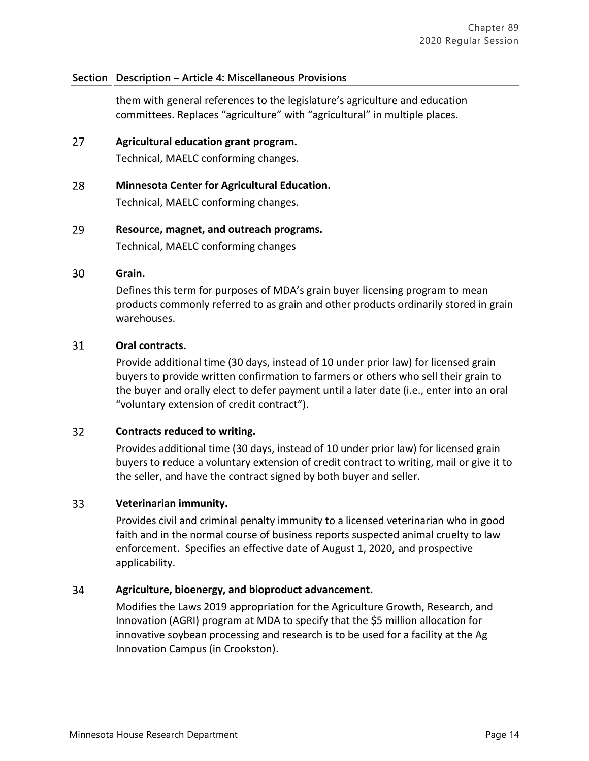them with general references to the legislature's agriculture and education committees. Replaces "agriculture" with "agricultural" in multiple places.

27 **Agricultural education grant program.**

Technical, MAELC conforming changes.

- 28 **Minnesota Center for Agricultural Education.** Technical, MAELC conforming changes.
- 29 **Resource, magnet, and outreach programs.** Technical, MAELC conforming changes

#### 30 **Grain.**

Defines this term for purposes of MDA's grain buyer licensing program to mean products commonly referred to as grain and other products ordinarily stored in grain warehouses.

## 31 **Oral contracts.**

Provide additional time (30 days, instead of 10 under prior law) for licensed grain buyers to provide written confirmation to farmers or others who sell their grain to the buyer and orally elect to defer payment until a later date (i.e., enter into an oral "voluntary extension of credit contract").

#### $32<sup>2</sup>$ **Contracts reduced to writing.**

Provides additional time (30 days, instead of 10 under prior law) for licensed grain buyers to reduce a voluntary extension of credit contract to writing, mail or give it to the seller, and have the contract signed by both buyer and seller.

# 33 **Veterinarian immunity.**

Provides civil and criminal penalty immunity to a licensed veterinarian who in good faith and in the normal course of business reports suspected animal cruelty to law enforcement. Specifies an effective date of August 1, 2020, and prospective applicability.

# 34 **Agriculture, bioenergy, and bioproduct advancement.**

Modifies the Laws 2019 appropriation for the Agriculture Growth, Research, and Innovation (AGRI) program at MDA to specify that the \$5 million allocation for innovative soybean processing and research is to be used for a facility at the Ag Innovation Campus (in Crookston).